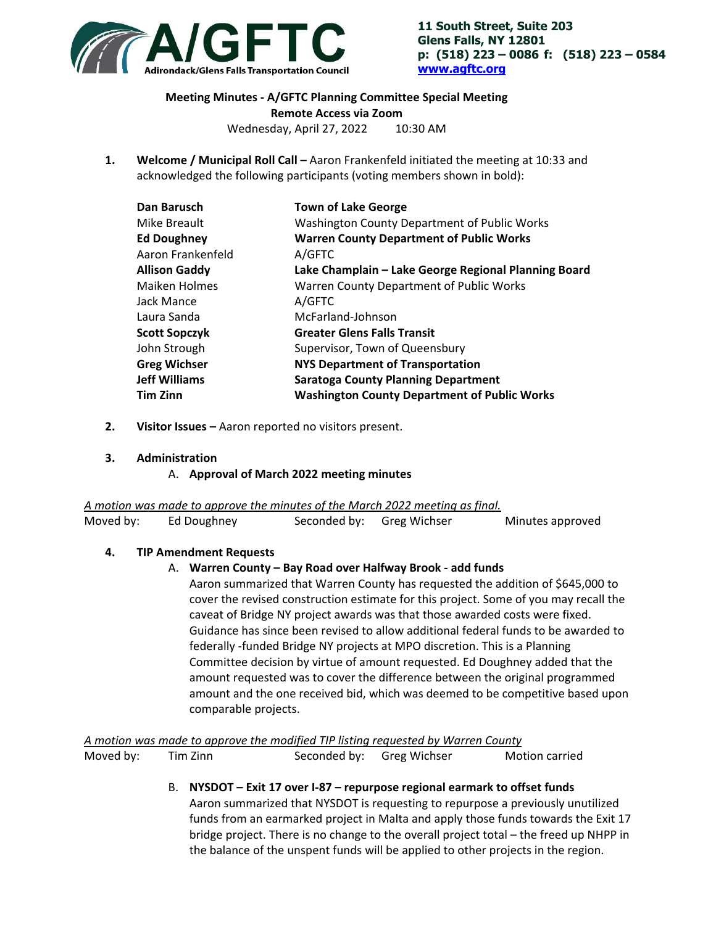

**11 South Street, Suite 203 Glens Falls, NY 12801 p: (518) 223 – 0086 f: (518) 223 – 0584 www.agftc.org**

# **Meeting Minutes ‐ A/GFTC Planning Committee Special Meeting Remote Access via Zoom**

Wednesday, April 27, 2022 10:30 AM

**1. Welcome / Municipal Roll Call –** Aaron Frankenfeld initiated the meeting at 10:33 and acknowledged the following participants (voting members shown in bold):

| Dan Barusch          | <b>Town of Lake George</b>                           |
|----------------------|------------------------------------------------------|
| Mike Breault         | Washington County Department of Public Works         |
| <b>Ed Doughney</b>   | <b>Warren County Department of Public Works</b>      |
| Aaron Frankenfeld    | A/GFTC                                               |
| <b>Allison Gaddy</b> | Lake Champlain - Lake George Regional Planning Board |
| <b>Maiken Holmes</b> | Warren County Department of Public Works             |
| Jack Mance           | A/GFTC                                               |
| Laura Sanda          | McFarland-Johnson                                    |
| <b>Scott Sopczyk</b> | <b>Greater Glens Falls Transit</b>                   |
| John Strough         | Supervisor, Town of Queensbury                       |
| <b>Greg Wichser</b>  | <b>NYS Department of Transportation</b>              |
| <b>Jeff Williams</b> | <b>Saratoga County Planning Department</b>           |
| <b>Tim Zinn</b>      | <b>Washington County Department of Public Works</b>  |

- **2. Visitor Issues** Aaron reported no visitors present.
- **3. Administration**

A. **Approval of March 2022 meeting minutes** 

*A motion was made to approve the minutes of the March 2022 meeting as final.* 

| Moved by: | Ed Doughney | Seconded by: Greg Wichser | Minutes approved |
|-----------|-------------|---------------------------|------------------|
|           |             |                           |                  |

## **4. TIP Amendment Requests**

## A. **Warren County – Bay Road over Halfway Brook ‐ add funds**

Aaron summarized that Warren County has requested the addition of \$645,000 to cover the revised construction estimate for this project. Some of you may recall the caveat of Bridge NY project awards was that those awarded costs were fixed. Guidance has since been revised to allow additional federal funds to be awarded to federally ‐funded Bridge NY projects at MPO discretion. This is a Planning Committee decision by virtue of amount requested. Ed Doughney added that the amount requested was to cover the difference between the original programmed amount and the one received bid, which was deemed to be competitive based upon comparable projects.

*A motion was made to approve the modified TIP listing requested by Warren County*  Moved by: Tim Zinn Seconded by: Greg Wichser Motion carried

## B. **NYSDOT – Exit 17 over I‐87 – repurpose regional earmark to offset funds**  Aaron summarized that NYSDOT is requesting to repurpose a previously unutilized funds from an earmarked project in Malta and apply those funds towards the Exit 17 bridge project. There is no change to the overall project total – the freed up NHPP in the balance of the unspent funds will be applied to other projects in the region.